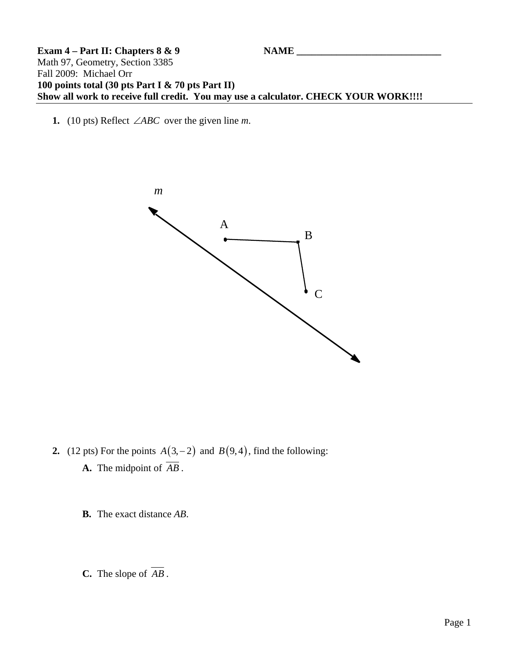## **Exam 4 – Part II: Chapters 8 & 9** NAME Math 97, Geometry, Section 3385 Fall 2009: Michael Orr **100 points total (30 pts Part I & 70 pts Part II) Show all work to receive full credit. You may use a calculator. CHECK YOUR WORK!!!!**

**1.** (10 pts) Reflect ∠*ABC* over the given line *m*.



**2.** (12 pts) For the points  $A(3, -2)$  and  $B(9, 4)$ , find the following: **A.** The midpoint of *AB* .

**B.** The exact distance *AB*.

**C.** The slope of *AB* .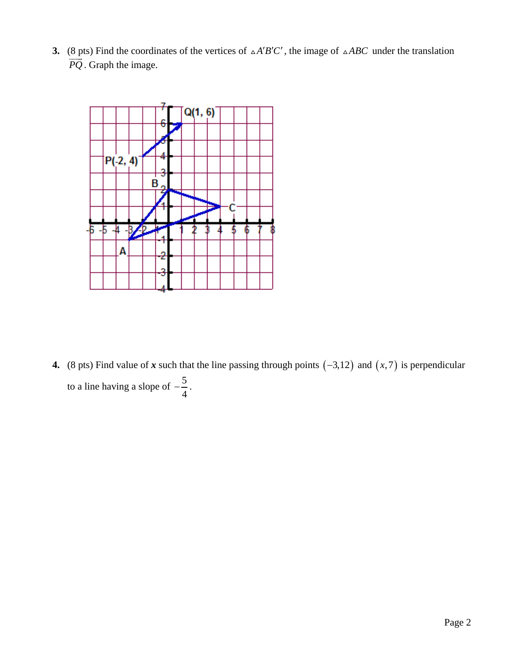**3.** (8 pts) Find the coordinates of the vertices of  $\Delta A'B'C'$ , the image of  $\Delta ABC$  under the translation  $\overrightarrow{PQ}$ . Graph the image.



**4.** (8 pts) Find value of *x* such that the line passing through points  $(-3,12)$  and  $(x,7)$  is perpendicular to a line having a slope of  $-\frac{5}{5}$ 4  $-\frac{3}{4}$ .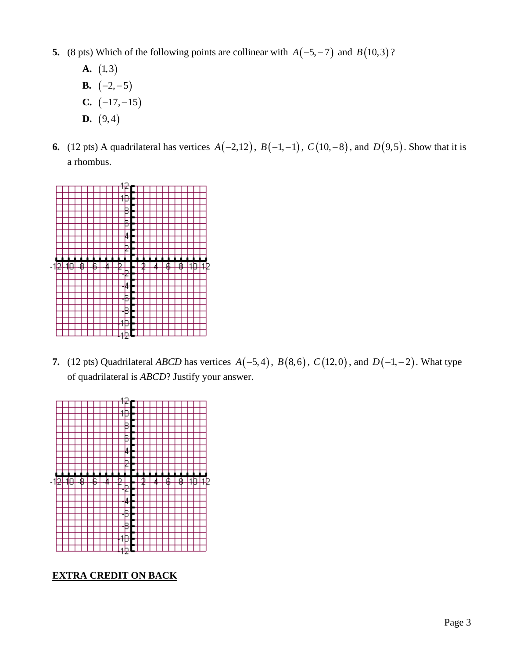- **5.** (8 pts) Which of the following points are collinear with  $A(-5, -7)$  and  $B(10, 3)$ ?
	- **A.**  $(1,3)$ **B.**  $(-2, -5)$ **C.**  $(-17, -15)$ **D.**  $(9,4)$
- **6.** (12 pts) A quadrilateral has vertices  $A(-2,12)$ ,  $B(-1,-1)$ ,  $C(10,-8)$ , and  $D(9,5)$ . Show that it is a rhombus.



**7.** (12 pts) Quadrilateral *ABCD* has vertices  $A(-5, 4)$ ,  $B(8, 6)$ ,  $C(12, 0)$ , and  $D(-1, -2)$ . What type of quadrilateral is *ABCD*? Justify your answer.



**EXTRA CREDIT ON BACK**